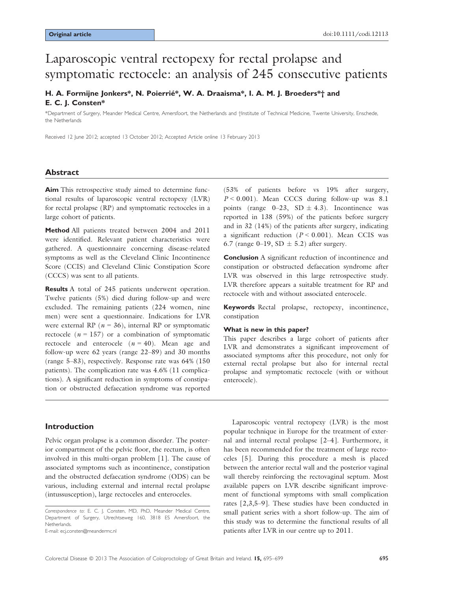# Laparoscopic ventral rectopexy for rectal prolapse and symptomatic rectocele: an analysis of 245 consecutive patients

# H. A. Formijne Jonkers\*, N. Poierrié\*, W. A. Draaisma\*, I. A. M. J. Broeders\*† and E. C. J. Consten\*

\*Department of Surgery, Meander Medical Centre, Amersfoort, the Netherlands and †Institute of Technical Medicine, Twente University, Enschede, the Netherlands

Received 12 June 2012; accepted 13 October 2012; Accepted Article online 13 February 2013

## Abstract

Aim This retrospective study aimed to determine functional results of laparoscopic ventral rectopexy (LVR) for rectal prolapse (RP) and symptomatic rectoceles in a large cohort of patients.

Method All patients treated between 2004 and 2011 were identified. Relevant patient characteristics were gathered. A questionnaire concerning disease-related symptoms as well as the Cleveland Clinic Incontinence Score (CCIS) and Cleveland Clinic Constipation Score (CCCS) was sent to all patients.

**Results** A total of 245 patients underwent operation. Twelve patients (5%) died during follow-up and were excluded. The remaining patients (224 women, nine men) were sent a questionnaire. Indications for LVR were external RP ( $n = 36$ ), internal RP or symptomatic rectocele ( $n = 157$ ) or a combination of symptomatic rectocele and enterocele  $(n = 40)$ . Mean age and follow-up were 62 years (range 22–89) and 30 months (range 5–83), respectively. Response rate was 64% (150 patients). The complication rate was 4.6% (11 complications). A significant reduction in symptoms of constipation or obstructed defaecation syndrome was reported

## Introduction

Pelvic organ prolapse is a common disorder. The posterior compartment of the pelvic floor, the rectum, is often involved in this multi-organ problem [1]. The cause of associated symptoms such as incontinence, constipation and the obstructed defaecation syndrome (ODS) can be various, including external and internal rectal prolapse (intussusception), large rectoceles and enteroceles.

E-mail: ecj.consten@meandermc.nl

(53% of patients before vs 19% after surgery,  $P < 0.001$ ). Mean CCCS during follow-up was 8.1 points (range  $0-23$ , SD  $\pm$  4.3). Incontinence was reported in 138 (59%) of the patients before surgery and in 32 (14%) of the patients after surgery, indicating a significant reduction ( $P < 0.001$ ). Mean CCIS was 6.7 (range 0–19, SD  $\pm$  5.2) after surgery.

Conclusion A significant reduction of incontinence and constipation or obstructed defaecation syndrome after LVR was observed in this large retrospective study. LVR therefore appears a suitable treatment for RP and rectocele with and without associated enterocele.

Keywords Rectal prolapse, rectopexy, incontinence, constipation

#### What is new in this paper?

This paper describes a large cohort of patients after LVR and demonstrates a significant improvement of associated symptoms after this procedure, not only for external rectal prolapse but also for internal rectal prolapse and symptomatic rectocele (with or without enterocele).

Laparoscopic ventral rectopexy (LVR) is the most popular technique in Europe for the treatment of external and internal rectal prolapse [2–4]. Furthermore, it has been recommended for the treatment of large rectoceles [5]. During this procedure a mesh is placed between the anterior rectal wall and the posterior vaginal wall thereby reinforcing the rectovaginal septum. Most available papers on LVR describe significant improvement of functional symptoms with small complication rates [2,3,5–9]. These studies have been conducted in small patient series with a short follow-up. The aim of this study was to determine the functional results of all patients after LVR in our centre up to 2011.

Correspondence to: E. C. J. Consten, MD, PhD, Meander Medical Centre, Department of Surgery, Utrechtseweg 160, 3818 ES Amersfoort, the Netherlands.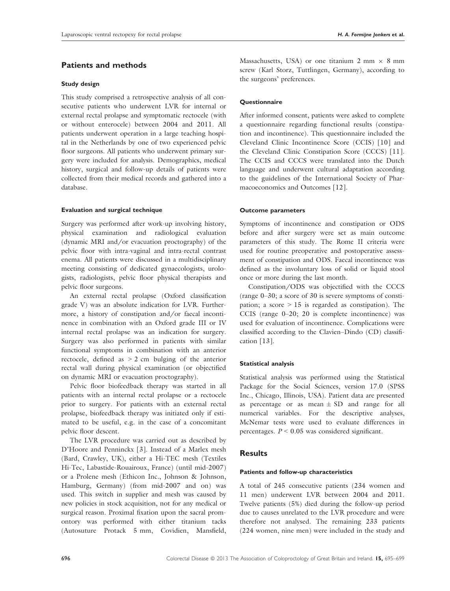### Study design

This study comprised a retrospective analysis of all consecutive patients who underwent LVR for internal or external rectal prolapse and symptomatic rectocele (with or without enterocele) between 2004 and 2011. All patients underwent operation in a large teaching hospital in the Netherlands by one of two experienced pelvic floor surgeons. All patients who underwent primary surgery were included for analysis. Demographics, medical history, surgical and follow-up details of patients were collected from their medical records and gathered into a database.

#### Evaluation and surgical technique

Surgery was performed after work-up involving history, physical examination and radiological evaluation (dynamic MRI and/or evacuation proctography) of the pelvic floor with intra-vaginal and intra-rectal contrast enema. All patients were discussed in a multidisciplinary meeting consisting of dedicated gynaecologists, urologists, radiologists, pelvic floor physical therapists and pelvic floor surgeons.

An external rectal prolapse (Oxford classification grade V) was an absolute indication for LVR. Furthermore, a history of constipation and/or faecal incontinence in combination with an Oxford grade III or IV internal rectal prolapse was an indication for surgery. Surgery was also performed in patients with similar functional symptoms in combination with an anterior rectocele, defined as > 2 cm bulging of the anterior rectal wall during physical examination (or objectified on dynamic MRI or evacuation proctography).

Pelvic floor biofeedback therapy was started in all patients with an internal rectal prolapse or a rectocele prior to surgery. For patients with an external rectal prolapse, biofeedback therapy was initiated only if estimated to be useful, e.g. in the case of a concomitant pelvic floor descent.

The LVR procedure was carried out as described by D'Hoore and Penninckx [3]. Instead of a Marlex mesh (Bard, Crawley, UK), either a Hi-TEC mesh (Textiles Hi-Tec, Labastide-Rouairoux, France) (until mid-2007) or a Prolene mesh (Ethicon Inc., Johnson & Johnson, Hamburg, Germany) (from mid-2007 and on) was used. This switch in supplier and mesh was caused by new policies in stock acquisition, not for any medical or surgical reason. Proximal fixation upon the sacral promontory was performed with either titanium tacks (Autosuture Protack 5 mm, Covidien, Mansfield,

Massachusetts, USA) or one titanium 2 mm  $\times$  8 mm screw (Karl Storz, Tuttlingen, Germany), according to the surgeons' preferences.

#### **Questionnaire**

After informed consent, patients were asked to complete a questionnaire regarding functional results (constipation and incontinence). This questionnaire included the Cleveland Clinic Incontinence Score (CCIS) [10] and the Cleveland Clinic Constipation Score (CCCS) [11]. The CCIS and CCCS were translated into the Dutch language and underwent cultural adaptation according to the guidelines of the International Society of Pharmacoeconomics and Outcomes [12].

#### Outcome parameters

Symptoms of incontinence and constipation or ODS before and after surgery were set as main outcome parameters of this study. The Rome II criteria were used for routine preoperative and postoperative assessment of constipation and ODS. Faecal incontinence was defined as the involuntary loss of solid or liquid stool once or more during the last month.

Constipation/ODS was objectified with the CCCS (range 0–30; a score of 30 is severe symptoms of constipation; a score  $> 15$  is regarded as constipation). The CCIS (range 0–20; 20 is complete incontinence) was used for evaluation of incontinence. Complications were classified according to the Clavien–Dindo (CD) classification [13].

#### Statistical analysis

Statistical analysis was performed using the Statistical Package for the Social Sciences, version 17.0 (SPSS Inc., Chicago, Illinois, USA). Patient data are presented as percentage or as mean  $\pm$  SD and range for all numerical variables. For the descriptive analyses, McNemar tests were used to evaluate differences in percentages.  $P < 0.05$  was considered significant.

## Results

#### Patients and follow-up characteristics

A total of 245 consecutive patients (234 women and 11 men) underwent LVR between 2004 and 2011. Twelve patients (5%) died during the follow-up period due to causes unrelated to the LVR procedure and were therefore not analysed. The remaining 233 patients (224 women, nine men) were included in the study and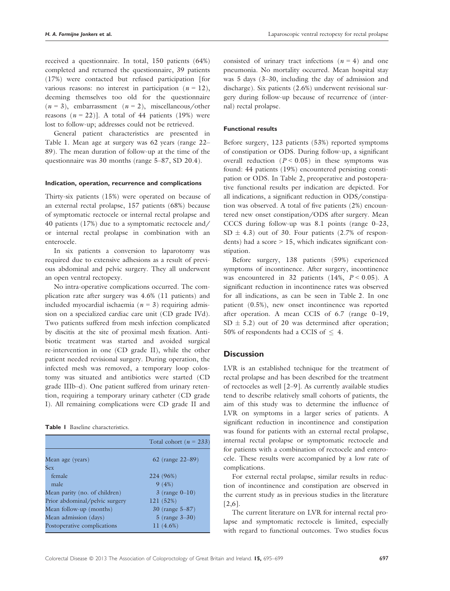received a questionnaire. In total, 150 patients (64%) completed and returned the questionnaire, 39 patients (17%) were contacted but refused participation [for various reasons: no interest in participation  $(n = 12)$ , deeming themselves too old for the questionnaire  $(n = 3)$ , embarrassment  $(n = 2)$ , miscellaneous/other reasons  $(n = 22)$ ]. A total of 44 patients (19%) were lost to follow-up; addresses could not be retrieved.

General patient characteristics are presented in Table 1. Mean age at surgery was 62 years (range 22– 89). The mean duration of follow-up at the time of the questionnaire was 30 months (range 5–87, SD 20.4).

#### Indication, operation, recurrence and complications

Thirty-six patients (15%) were operated on because of an external rectal prolapse, 157 patients (68%) because of symptomatic rectocele or internal rectal prolapse and 40 patients (17%) due to a symptomatic rectocele and/ or internal rectal prolapse in combination with an enterocele.

In six patients a conversion to laparotomy was required due to extensive adhesions as a result of previous abdominal and pelvic surgery. They all underwent an open ventral rectopexy.

No intra-operative complications occurred. The complication rate after surgery was 4.6% (11 patients) and included myocardial ischaemia ( $n = 3$ ) requiring admission on a specialized cardiac care unit (CD grade IVd). Two patients suffered from mesh infection complicated by discitis at the site of proximal mesh fixation. Antibiotic treatment was started and avoided surgical re-intervention in one (CD grade II), while the other patient needed revisional surgery. During operation, the infected mesh was removed, a temporary loop colostomy was situated and antibiotics were started (CD grade IIIb–d). One patient suffered from urinary retention, requiring a temporary urinary catheter (CD grade I). All remaining complications were CD grade II and

|                                | Total cohort ( $n = 233$ ) |  |  |  |
|--------------------------------|----------------------------|--|--|--|
| Mean age (years)               | 62 (range $22 - 89$ )      |  |  |  |
| Sex                            |                            |  |  |  |
| female                         | 224 (96%)                  |  |  |  |
| male                           | 9(4%)                      |  |  |  |
| Mean parity (no. of children)  | $3$ (range 0–10)           |  |  |  |
| Prior abdominal/pelvic surgery | 121 (52%)                  |  |  |  |
| Mean follow-up (months)        | 30 (range $5 - 87$ )       |  |  |  |
| Mean admission (days)          | 5 (range $3 - 30$ )        |  |  |  |
| Postoperative complications    | 11 (4.6%)                  |  |  |  |
|                                |                            |  |  |  |

consisted of urinary tract infections ( $n = 4$ ) and one pneumonia. No mortality occurred. Mean hospital stay was 5 days (3–30, including the day of admission and discharge). Six patients (2.6%) underwent revisional surgery during follow-up because of recurrence of (internal) rectal prolapse.

#### Functional results

Before surgery, 123 patients (53%) reported symptoms of constipation or ODS. During follow-up, a significant overall reduction ( $P < 0.05$ ) in these symptoms was found: 44 patients (19%) encountered persisting constipation or ODS. In Table 2, preoperative and postoperative functional results per indication are depicted. For all indications, a significant reduction in ODS/constipation was observed. A total of five patients (2%) encountered new onset constipation/ODS after surgery. Mean CCCS during follow-up was 8.1 points (range 0–23,  $SD \pm 4.3$ ) out of 30. Four patients (2.7% of respondents) had a score > 15, which indicates significant constipation.

Before surgery, 138 patients (59%) experienced symptoms of incontinence. After surgery, incontinence was encountered in 32 patients  $(14\%, P < 0.05)$ . A significant reduction in incontinence rates was observed for all indications, as can be seen in Table 2. In one patient (0.5%), new onset incontinence was reported after operation. A mean CCIS of 6.7 (range 0–19,  $SD \pm 5.2$ ) out of 20 was determined after operation; 50% of respondents had a CCIS of  $\leq$  4.

## **Discussion**

LVR is an established technique for the treatment of rectal prolapse and has been described for the treatment of rectoceles as well [2–9]. As currently available studies tend to describe relatively small cohorts of patients, the aim of this study was to determine the influence of LVR on symptoms in a larger series of patients. A significant reduction in incontinence and constipation was found for patients with an external rectal prolapse, internal rectal prolapse or symptomatic rectocele and for patients with a combination of rectocele and enterocele. These results were accompanied by a low rate of complications.

For external rectal prolapse, similar results in reduction of incontinence and constipation are observed in the current study as in previous studies in the literature [2,6].

The current literature on LVR for internal rectal prolapse and symptomatic rectocele is limited, especially with regard to functional outcomes. Two studies focus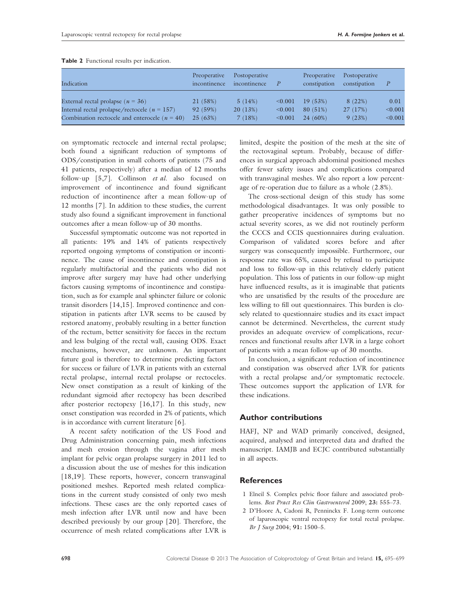| Indication                                        | Preoperative<br>incontinence | Postoperative<br>incontinence |         | Preoperative<br>constipation | Postoperative<br>constipation |         |
|---------------------------------------------------|------------------------------|-------------------------------|---------|------------------------------|-------------------------------|---------|
| External rectal prolapse ( $n = 36$ )             | 21 (58%)                     | 5(14%)                        | < 0.001 | 19(53%)                      | 8 (22%)                       | 0.01    |
| Internal rectal prolapse/rectocele ( $n = 157$ )  | 92 (59%)                     | 20(13%)                       | < 0.001 | 80(51%)                      | 27(17%)                       | < 0.001 |
| Combination rectocele and enterocele ( $n = 40$ ) | 25(63%)                      | 7(18%)                        | < 0.001 | $24(60\%)$                   | 9(23%)                        | < 0.001 |

Table 2 Functional results per indication.

on symptomatic rectocele and internal rectal prolapse; both found a significant reduction of symptoms of ODS/constipation in small cohorts of patients (75 and 41 patients, respectively) after a median of 12 months follow-up [5,7]. Collinson et al. also focused on improvement of incontinence and found significant reduction of incontinence after a mean follow-up of 12 months [7]. In addition to these studies, the current study also found a significant improvement in functional outcomes after a mean follow-up of 30 months.

Successful symptomatic outcome was not reported in all patients: 19% and 14% of patients respectively reported ongoing symptoms of constipation or incontinence. The cause of incontinence and constipation is regularly multifactorial and the patients who did not improve after surgery may have had other underlying factors causing symptoms of incontinence and constipation, such as for example anal sphincter failure or colonic transit disorders [14,15]. Improved continence and constipation in patients after LVR seems to be caused by restored anatomy, probably resulting in a better function of the rectum, better sensitivity for faeces in the rectum and less bulging of the rectal wall, causing ODS. Exact mechanisms, however, are unknown. An important future goal is therefore to determine predicting factors for success or failure of LVR in patients with an external rectal prolapse, internal rectal prolapse or rectoceles. New onset constipation as a result of kinking of the redundant sigmoid after rectopexy has been described after posterior rectopexy [16,17]. In this study, new onset constipation was recorded in 2% of patients, which is in accordance with current literature [6].

A recent safety notification of the US Food and Drug Administration concerning pain, mesh infections and mesh erosion through the vagina after mesh implant for pelvic organ prolapse surgery in 2011 led to a discussion about the use of meshes for this indication [18,19]. These reports, however, concern transvaginal positioned meshes. Reported mesh related complications in the current study consisted of only two mesh infections. These cases are the only reported cases of mesh infection after LVR until now and have been described previously by our group [20]. Therefore, the occurrence of mesh related complications after LVR is

limited, despite the position of the mesh at the site of the rectovaginal septum. Probably, because of differences in surgical approach abdominal positioned meshes offer fewer safety issues and complications compared with transvaginal meshes. We also report a low percentage of re-operation due to failure as a whole (2.8%).

The cross-sectional design of this study has some methodological disadvantages. It was only possible to gather preoperative incidences of symptoms but no actual severity scores, as we did not routinely perform the CCCS and CCIS questionnaires during evaluation. Comparison of validated scores before and after surgery was consequently impossible. Furthermore, our response rate was 65%, caused by refusal to participate and loss to follow-up in this relatively elderly patient population. This loss of patients in our follow-up might have influenced results, as it is imaginable that patients who are unsatisfied by the results of the procedure are less willing to fill out questionnaires. This burden is closely related to questionnaire studies and its exact impact cannot be determined. Nevertheless, the current study provides an adequate overview of complications, recurrences and functional results after LVR in a large cohort of patients with a mean follow-up of 30 months.

In conclusion, a significant reduction of incontinence and constipation was observed after LVR for patients with a rectal prolapse and/or symptomatic rectocele. These outcomes support the application of LVR for these indications.

# Author contributions

HAFJ, NP and WAD primarily conceived, designed, acquired, analysed and interpreted data and drafted the manuscript. IAMJB and ECJC contributed substantially in all aspects.

# **References**

- 1 Elneil S. Complex pelvic floor failure and associated problems. Best Pract Res Clin Gastroenterol 2009; 23: 555–73.
- 2 D'Hoore A, Cadoni R, Penninckx F. Long-term outcome of laparoscopic ventral rectopexy for total rectal prolapse. Br J Surg 2004; 91: 1500–5.